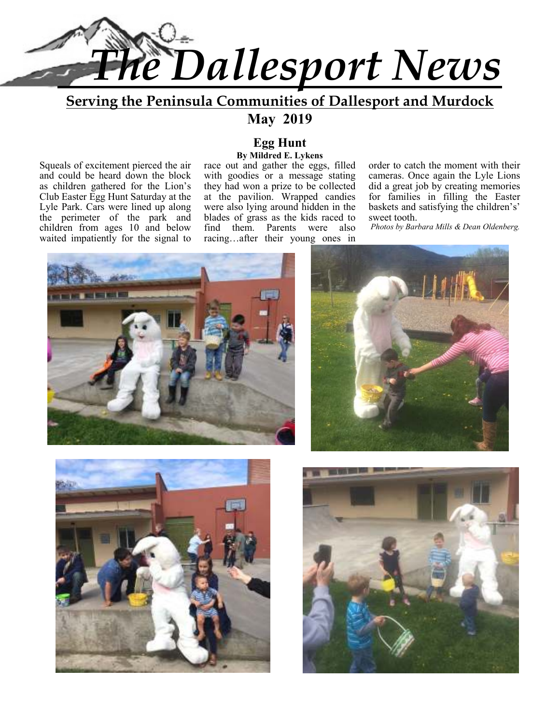

### **Serving the Peninsula Communities of Dallesport and Murdock May 2019**

Squeals of excitement pierced the air and could be heard down the block as children gathered for the Lion's Club Easter Egg Hunt Saturday at the Lyle Park. Cars were lined up along the perimeter of the park and children from ages 10 and below waited impatiently for the signal to

### **Egg Hunt By Mildred E. Lykens**

race out and gather the eggs, filled with goodies or a message stating they had won a prize to be collected at the pavilion. Wrapped candies were also lying around hidden in the blades of grass as the kids raced to find them. Parents were also racing…after their young ones in

order to catch the moment with their cameras. Once again the Lyle Lions did a great job by creating memories for families in filling the Easter baskets and satisfying the children's' sweet tooth.

 *Photos by Barbara Mills & Dean Oldenberg.* 







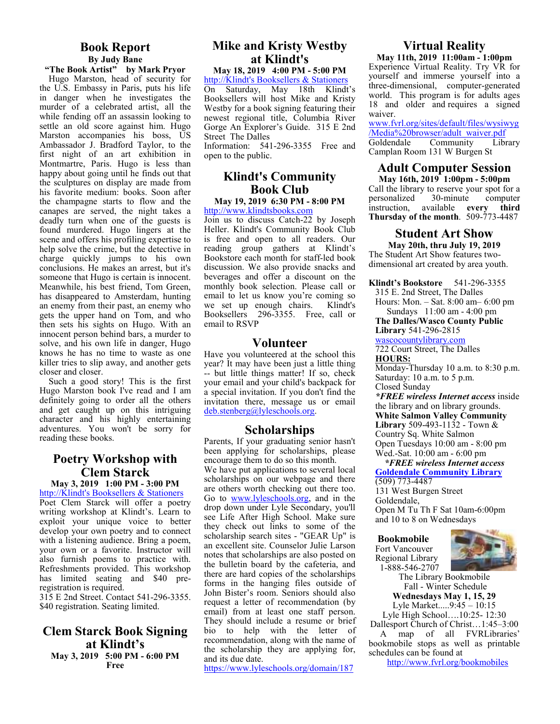### **Book Report By Judy Bane**

**"The Book Artist" by Mark Pryor**  Hugo Marston, head of security for the U.S. Embassy in Paris, puts his life in danger when he investigates the murder of a celebrated artist, all the while fending off an assassin looking to settle an old score against him. Hugo Marston accompanies his boss, US Ambassador J. Bradford Taylor, to the first night of an art exhibition in Montmartre, Paris. Hugo is less than happy about going until he finds out that the sculptures on display are made from his favorite medium: books. Soon after the champagne starts to flow and the canapes are served, the night takes a deadly turn when one of the guests is found murdered. Hugo lingers at the scene and offers his profiling expertise to help solve the crime, but the detective in charge quickly jumps to his own conclusions. He makes an arrest, but it's someone that Hugo is certain is innocent. Meanwhile, his best friend, Tom Green, has disappeared to Amsterdam, hunting an enemy from their past, an enemy who gets the upper hand on Tom, and who then sets his sights on Hugo. With an innocent person behind bars, a murder to solve, and his own life in danger, Hugo knows he has no time to waste as one killer tries to slip away, and another gets closer and closer.

 Such a good story! This is the first Hugo Marston book I've read and I am definitely going to order all the others and get caught up on this intriguing character and his highly entertaining adventures. You won't be sorry for reading these books.

### **Poetry Workshop with Clem Starck**

**May 3, 2019 1:00 PM - 3:00 PM** 

http://Klindt's Booksellers & Stationers Poet Clem Starck will offer a poetry writing workshop at Klindt's. Learn to exploit your unique voice to better develop your own poetry and to connect with a listening audience. Bring a poem, your own or a favorite. Instructor will also furnish poems to practice with. Refreshments provided. This workshop has limited seating and \$40 preregistration is required.

315 E 2nd Street. Contact 541-296-3355. \$40 registration. Seating limited.

### **Clem Starck Book Signing at Klindt's May 3, 2019 5:00 PM - 6:00 PM Free**

### **Mike and Kristy Westby at Klindt's**

**May 18, 2019 4:00 PM - 5:00 PM** 

http://Klindt's Booksellers & Stationers On Saturday, May 18th Klindt's Booksellers will host Mike and Kristy Westby for a book signing featuring their newest regional title, Columbia River Gorge An Explorer's Guide. 315 E 2nd Street The Dalles Information: 541-296-3355 Free and

open to the public.

### **Klindt's Community Book Club**

**May 19, 2019 6:30 PM - 8:00 PM**  http://www.klindtsbooks.com

Join us to discuss Catch-22 by Joseph Heller. Klindt's Community Book Club is free and open to all readers. Our reading group gathers at Klindt's Bookstore each month for staff-led book discussion. We also provide snacks and beverages and offer a discount on the monthly book selection. Please call or email to let us know you're coming so<br>we set up enough chairs. Klindt's we set up enough chairs. Booksellers 296-3355. Free, call or email to RSVP

### **Volunteer**

Have you volunteered at the school this year? It may have been just a little thing -- but little things matter! If so, check your email and your child's backpack for a special invitation. If you don't find the invitation there, message us or email deb.stenberg@lyleschools.org.

### **Scholarships**

Parents, If your graduating senior hasn't been applying for scholarships, please encourage them to do so this month. We have put applications to several local scholarships on our webpage and there are others worth checking out there too. Go to www.lyleschools.org, and in the drop down under Lyle Secondary, you'll see Life After High School. Make sure they check out links to some of the scholarship search sites - "GEAR Up" is an excellent site. Counselor Julie Larson notes that scholarships are also posted on the bulletin board by the cafeteria, and there are hard copies of the scholarships forms in the hanging files outside of John Bister's room. Seniors should also request a letter of recommendation (by email) from at least one staff person. They should include a resume or brief bio to help with the letter of recommendation, along with the name of the scholarship they are applying for, and its due date.

https://www.lyleschools.org/domain/187

### **Virtual Reality**

**May 11th, 2019 11:00am - 1:00pm**  Experience Virtual Reality. Try VR for yourself and immerse yourself into a three-dimensional, computer-generated world. This program is for adults ages 18 and older and requires a signed waiver.

www.fvrl.org/sites/default/files/wysiwyg /Media%20browser/adult\_waiver.pdf Community Camplan Room 131 W Burgen St

### **Adult Computer Session May 16th, 2019 1:00pm - 5:00pm**

Call the library to reserve your spot for a<br>personalized 30-minute computer personalized 30-minute computer instruction, available **every third Thursday of the month**. 509-773-4487

### **Student Art Show**

**May 20th, thru July 19, 2019**  The Student Art Show features twodimensional art created by area youth.

**Klindt's Bookstore** 541-296-3355

315 E. 2nd Street, The Dalles Hours: Mon. – Sat. 8:00 am– 6:00 pm Sundays 11:00 am - 4:00 pm

**The Dalles/Wasco County Public Library** 541-296-2815

#### wascocountylibrary.com

722 Court Street, The Dalles **HOURS:** 

Monday-Thursday 10 a.m. to 8:30 p.m. Saturday: 10 a.m. to 5 p.m.

Closed Sunday

*\*FREE wireless Internet access* inside the library and on library grounds. **White Salmon Valley Community Library** 509-493-1132 - Town & Country Sq. White Salmon

Open Tuesdays 10:00 am - 8:00 pm Wed.-Sat. 10:00 am - 6:00 pm

 *\*FREE wireless Internet access*  **Goldendale Community Library**  (509) 773-4487

131 West Burgen Street Goldendale, Open M Tu Th F Sat 10am-6:00pm and 10 to 8 on Wednesdays

### **Bookmobile**

Fort Vancouver Regional Library 1-888-546-2707



The Library Bookmobile Fall - Winter Schedule **Wednesdays May 1, 15, 29** 

Lyle Market.....9:45 – 10:15 Lyle High School….10:25- 12:30 Dallesport Church of Christ…1:45–3:00

 A map of all FVRLibraries' bookmobile stops as well as printable schedules can be found at

http://www.fvrl.org/bookmobiles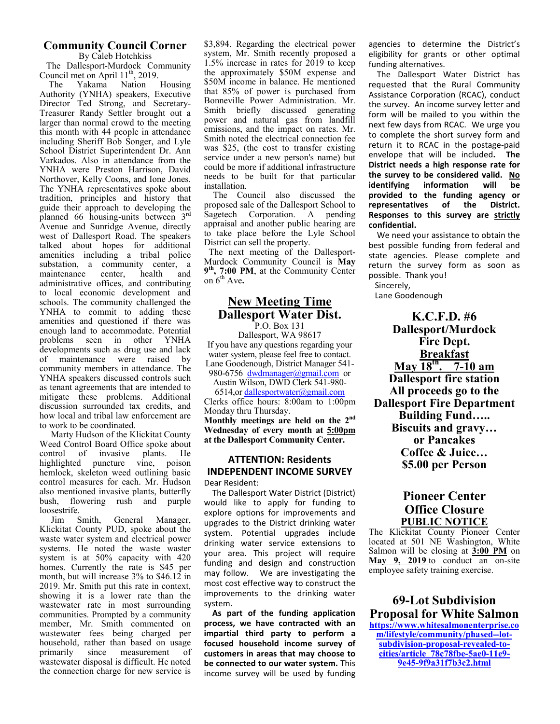### **Community Council Corner**

By Caleb Hotchkiss The Dallesport-Murdock Community

Council met on April  $11^{th}$ , 2019.<br>The Yakama Nation Housing Yakama Nation Authority (YNHA) speakers, Executive Director Ted Strong, and Secretary-Treasurer Randy Settler brought out a larger than normal crowd to the meeting this month with 44 people in attendance including Sheriff Bob Songer, and Lyle School District Superintendent Dr. Ann Varkados. Also in attendance from the YNHA were Preston Harrison, David Northover, Kelly Coons, and Ione Jones. The YNHA representatives spoke about tradition, principles and history that guide their approach to developing the planned 66 housing-units between 3rd Avenue and Sunridge Avenue, directly west of Dallesport Road. The speakers talked about hopes for additional amenities including a tribal police substation, a community center, a maintenance center, health and administrative offices, and contributing to local economic development and schools. The community challenged the YNHA to commit to adding these amenities and questioned if there was enough land to accommodate. Potential problems seen in other YNHA developments such as drug use and lack<br>of maintenance were raised by maintenance were raised by community members in attendance. The YNHA speakers discussed controls such as tenant agreements that are intended to mitigate these problems. Additional discussion surrounded tax credits, and how local and tribal law enforcement are to work to be coordinated.

 Marty Hudson of the Klickitat County Weed Control Board Office spoke about control of invasive plants. He highlighted puncture vine, poison hemlock, skeleton weed outlining basic control measures for each. Mr. Hudson also mentioned invasive plants, butterfly bush, flowering rush and purple loosestrife.

 Jim Smith, General Manager, Klickitat County PUD, spoke about the waste water system and electrical power systems. He noted the waste waster system is at 50% capacity with 420 homes. Currently the rate is \$45 per month, but will increase 3% to \$46.12 in 2019. Mr. Smith put this rate in context, showing it is a lower rate than the wastewater rate in most surrounding communities. Prompted by a community member, Mr. Smith commented on wastewater fees being charged per household, rather than based on usage primarily since measurement of wastewater disposal is difficult. He noted the connection charge for new service is

\$3,894. Regarding the electrical power system, Mr. Smith recently proposed a 1.5% increase in rates for 2019 to keep the approximately \$50M expense and \$50M income in balance. He mentioned that 85% of power is purchased from Bonneville Power Administration. Mr. Smith briefly discussed generating power and natural gas from landfill emissions, and the impact on rates. Mr. Smith noted the electrical connection fee was \$25, (the cost to transfer existing service under a new person's name) but could be more if additional infrastructure needs to be built for that particular installation.

 The Council also discussed the proposed sale of the Dallesport School to Sagetech Corporation. A pending appraisal and another public hearing are to take place before the Lyle School District can sell the property.

 The next meeting of the Dallesport-Murdock Community Council is **May 9 th, 7:00 PM**, at the Community Center on  $6<sup>th</sup>$  Ave.

### **New Meeting Time Dallesport Water Dist.**

P.O. Box 131 Dallesport, WA 98617 If you have any questions regarding your water system, please feel free to contact. Lane Goodenough, District Manager 541- 980-6756 dwdmanager@gmail.com or

Austin Wilson, DWD Clerk 541-980-

6514,or dallesportwater@gmail.com Clerks office hours: 8:00am to 1:00pm Monday thru Thursday. **Monthly meetings are held on the 2nd Wednesday of every month at 5:00pm at the Dallesport Community Center.** 

### **ATTENTION: Residents INDEPENDENT INCOME SURVEY**

Dear Resident:

 The Dallesport Water District (District) would like to apply for funding to explore options for improvements and upgrades to the District drinking water system. Potential upgrades include drinking water service extensions to your area. This project will require funding and design and construction may follow. We are investigating the most cost effective way to construct the improvements to the drinking water system.

 **As part of the funding application process, we have contracted with an impartial third party to perform a focused household income survey of customers in areas that may choose to be connected to our water system.** This income survey will be used by funding agencies to determine the District's eligibility for grants or other optimal funding alternatives.

 The Dallesport Water District has requested that the Rural Community Assistance Corporation (RCAC), conduct the survey. An income survey letter and form will be mailed to you within the next few days from RCAC. We urge you to complete the short survey form and return it to RCAC in the postage-paid envelope that will be included**. The District needs a high response rate for the survey to be considered valid. No identifying information will be provided to the funding agency or representatives of the District. Responses to this survey are strictly confidential.**

 We need your assistance to obtain the best possible funding from federal and state agencies. Please complete and return the survey form as soon as possible. Thank you!

 Sincerely, Lane Goodenough

**K.C.F.D. #6 Dallesport/Murdock Fire Dept. Breakfast May 18th. 7-10 am Dallesport fire station All proceeds go to the Dallesport Fire Department Building Fund….. Biscuits and gravy… or Pancakes Coffee & Juice… \$5.00 per Person** 

### **Pioneer Center Office Closure PUBLIC NOTICE**

The Klickitat County Pioneer Center located at 501 NE Washington, White Salmon will be closing at **3:00 PM** on **May 9, 2019** to conduct an on-site employee safety training exercise.

**69-Lot Subdivision Proposal for White Salmon https://www.whitesalmonenterprise.co**

**m/lifestyle/community/phased--lotsubdivision-proposal-revealed-tocities/article\_78c78fbe-5ae0-11e9- 9e45-9f9a31f7b3c2.html**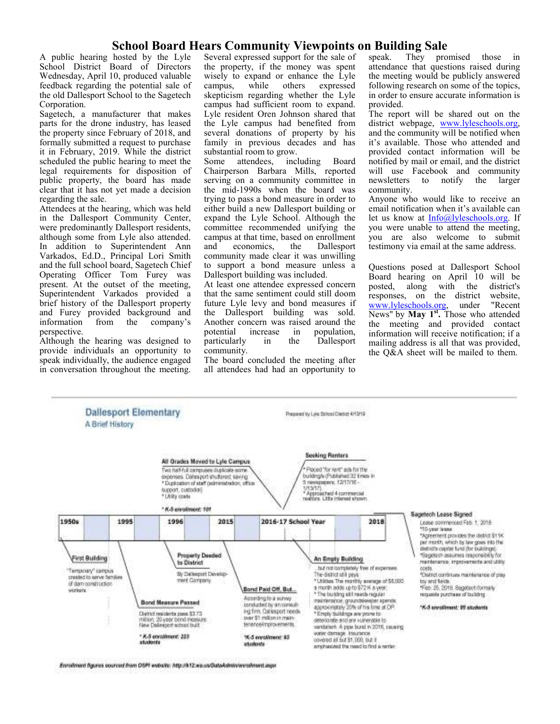# **School Board Hears Community Viewpoints on Building Sale** hosted by the Lyle Several expressed support for the sale of speak. They pro

A public hearing hosted by the Lyle School District Board of Directors Wednesday, April 10, produced valuable feedback regarding the potential sale of the old Dallesport School to the Sagetech Corporation.

Sagetech, a manufacturer that makes parts for the drone industry, has leased the property since February of 2018, and formally submitted a request to purchase it in February, 2019. While the district scheduled the public hearing to meet the legal requirements for disposition of public property, the board has made clear that it has not yet made a decision regarding the sale.

Attendees at the hearing, which was held in the Dallesport Community Center, were predominantly Dallesport residents, although some from Lyle also attended. In addition to Superintendent Ann Varkados, Ed.D., Principal Lori Smith and the full school board, Sagetech Chief Operating Officer Tom Furey was present. At the outset of the meeting, Superintendent Varkados provided a brief history of the Dallesport property and Furey provided background and<br>information from the company's from the perspective.

Although the hearing was designed to provide individuals an opportunity to speak individually, the audience engaged in conversation throughout the meeting. Several expressed support for the sale of the property, if the money was spent wisely to expand or enhance the Lyle<br>campus, while others expressed others expressed skepticism regarding whether the Lyle campus had sufficient room to expand. Lyle resident Oren Johnson shared that the Lyle campus had benefited from several donations of property by his family in previous decades and has substantial room to grow.

Some attendees, including Board Chairperson Barbara Mills, reported serving on a community committee in the mid-1990s when the board was trying to pass a bond measure in order to either build a new Dallesport building or expand the Lyle School. Although the committee recommended unifying the campus at that time, based on enrollment and economics, the Dallesport community made clear it was unwilling to support a bond measure unless a Dallesport building was included.

At least one attendee expressed concern that the same sentiment could still doom future Lyle levy and bond measures if the Dallesport building was sold. Another concern was raised around the potential increase in population. rease in population,<br>in the Dallesport particularly community.

The board concluded the meeting after all attendees had had an opportunity to

They promised those in attendance that questions raised during the meeting would be publicly answered following research on some of the topics, in order to ensure accurate information is provided.

The report will be shared out on the district webpage, www.lyleschools.org, and the community will be notified when it's available. Those who attended and provided contact information will be notified by mail or email, and the district will use Facebook and community<br>newsletters to notify the larger newsletters to notify the larger community.

Anyone who would like to receive an email notification when it's available can let us know at Info@lyleschools.org. If you were unable to attend the meeting, you are also welcome to submit testimony via email at the same address.

Questions posed at Dallesport School Board hearing on April 10 will be posted, along with the district's posted, along with the district's<br>responses, on the district website, responses, on the district website,<br>www.lyleschools.org under "Recent www.lyleschools.org, under News" by **May 1st .** Those who attended the meeting and provided contact information will receive notification; if a mailing address is all that was provided, the Q&A sheet will be mailed to them.



Enrolment figures sourced from DSPI website: http://k12.wa.us/DataAdmin/enrolment.inpx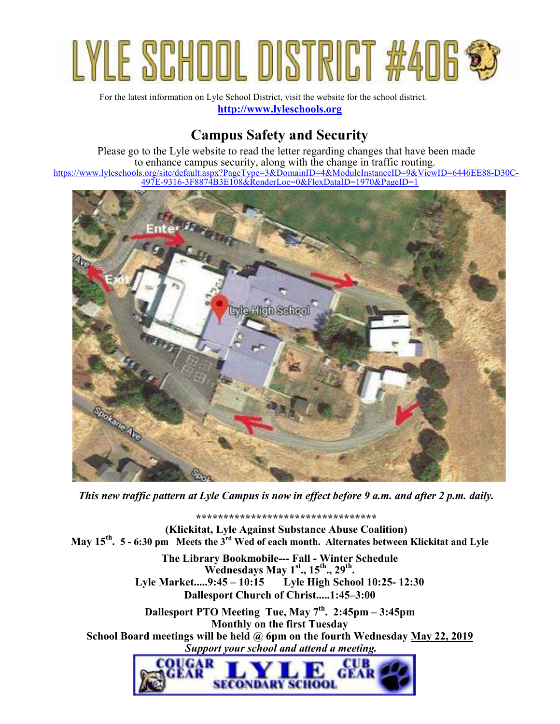# LYLE SCHOOL DISTRICT #406

For the latest information on Lyle School District, visit the website for the school district. **http://www.lyleschools.org**

## **Campus Safety and Security**

Please go to the Lyle website to read the letter regarding changes that have been made to enhance campus security, along with the change in traffic routing. https://www.lyleschools.org/site/default.aspx?PageType=3&DomainID=4&ModuleInstanceID=9&ViewID=6446EE88-D30C-497E-9316-3F8874B3E108&RenderLoc=0&FlexDataID=1970&PageID=1



*This new traffic pattern at Lyle Campus is now in effect before 9 a.m. and after 2 p.m. daily.* 

**\*\*\*\*\*\*\*\*\*\*\*\*\*\*\*\*\*\*\*\*\*\*\*\*\*\*\*\*\*\*\*\*\*** 

**(Klickitat, Lyle Against Substance Abuse Coalition) May 15th . 5 - 6:30 pm Meets the 3rd Wed of each month. Alternates between Klickitat and Lyle**

> **The Library Bookmobile--- Fall - Winter Schedule Wednesdays May 1st., 15th., 29th . Lyle Market.....9:45 – 10:15 Lyle High School 10:25- 12:30 Dallesport Church of Christ.....1:45–3:00**

**Dallesport PTO Meeting Tue, May 7th. 2:45pm – 3:45pm Monthly on the first Tuesday School Board meetings will be held @ 6pm on the fourth Wednesday May 22, 2019**  *Support your school and attend a meeting.* 

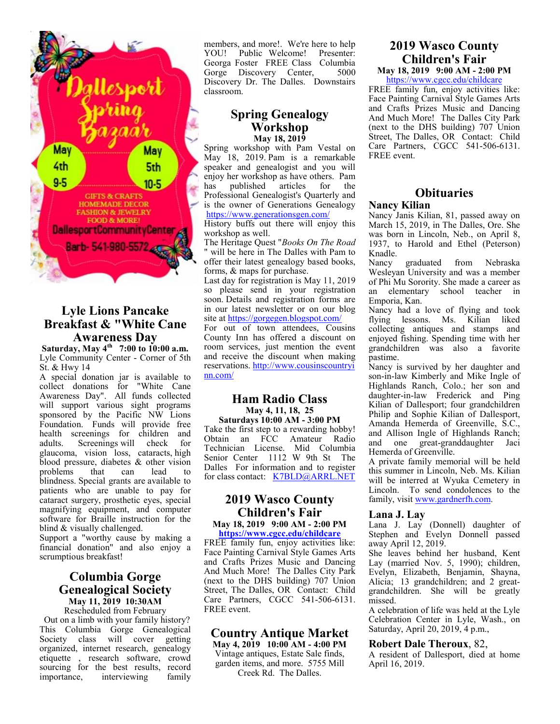

### **Lyle Lions Pancake Breakfast & "White Cane Awareness Day**

**Saturday, May 4th 7:00 to 10:00 a.m.**  Lyle Community Center - Corner of 5th St. & Hwy 14

A special donation jar is available to collect donations for "White Cane Awareness Day". All funds collected will support various sight programs sponsored by the Pacific NW Lions Foundation. Funds will provide free health screenings for children and adults. Screenings will check for glaucoma, vision loss, cataracts, high blood pressure, diabetes & other vision<br>problems that can lead to problems blindness. Special grants are available to patients who are unable to pay for cataract surgery, prosthetic eyes, special magnifying equipment, and computer software for Braille instruction for the blind & visually challenged.

Support a "worthy cause by making a financial donation" and also enjoy a scrumptious breakfast!

### **Columbia Gorge Genealogical Society May 11, 2019 10:30AM**

Rescheduled from February Out on a limb with your family history? This Columbia Gorge Genealogical Society class will cover getting organized, internet research, genealogy etiquette , research software, crowd sourcing for the best results, record importance, interviewing family members, and more!. We're here to help<br>YOU! Public Welcome! Presenter: YOU! Public Welcome! Georga Foster FREE Class Columbia<br>Gorge Discovery Center. 5000 Gorge Discovery Center, Discovery Dr. The Dalles. Downstairs classroom.

### **Spring Genealogy Workshop May 18, 2019**

Spring workshop with Pam Vestal on May 18, 2019. Pam is a remarkable speaker and genealogist and you will enjoy her workshop as have others. Pam<br>has published articles for the has published articles for the Professional Genealogist's Quarterly and is the owner of Generations Genealogy https://www.generationsgen.com/

History buffs out there will enjoy this workshop as well.

The Heritage Quest "*Books On The Road*  " will be here in The Dalles with Pam to offer their latest genealogy based books, forms, & maps for purchase.

Last day for registration is May 11, 2019 so please send in your registration soon. Details and registration forms are in our latest newsletter or on our blog site at https://gorgegen.blogspot.com/

For out of town attendees, Cousins County Inn has offered a discount on room services, just mention the event and receive the discount when making reservations. http://www.cousinscountryi nn.com/

### **Ham Radio Class May 4, 11, 18, 25**

**Saturdays 10:00 AM - 3:00 PM**  Take the first step to a rewarding hobby! Obtain an FCC Amateur Radio Technician License. Mid Columbia Senior Center 1112 W 9th St The Dalles For information and to register for class contact: K7BLD@ARRL.NET

### **2019 Wasco County Children's Fair**

**May 18, 2019 9:00 AM - 2:00 PM https://www.cgcc.edu/childcare**

FREE family fun, enjoy activities like: Face Painting Carnival Style Games Arts and Crafts Prizes Music and Dancing And Much More! The Dalles City Park (next to the DHS building) 707 Union Street, The Dalles, OR Contact: Child Care Partners, CGCC 541-506-6131. FREE event.

### **Country Antique Market**

**May 4, 2019 10:00 AM - 4:00 PM**  Vintage antiques, Estate Sale finds, garden items, and more. 5755 Mill Creek Rd. The Dalles.

### **2019 Wasco County Children's Fair**

**May 18, 2019 9:00 AM - 2:00 PM**  https://www.cgcc.edu/childcare

FREE family fun, enjoy activities like: Face Painting Carnival Style Games Arts and Crafts Prizes Music and Dancing And Much More! The Dalles City Park (next to the DHS building) 707 Union Street, The Dalles, OR Contact: Child Care Partners, CGCC 541-506-6131. FREE event.

### **Obituaries Nancy Kilian**

Nancy Janis Kilian, 81, passed away on March 15, 2019, in The Dalles, Ore. She was born in Lincoln, Neb., on April 8, 1937, to Harold and Ethel (Peterson) Knadle.<br>Nancy

graduated from Nebraska Wesleyan University and was a member of Phi Mu Sorority. She made a career as an elementary school teacher in Emporia, Kan.

Nancy had a love of flying and took flying lessons. Ms. Kilian liked collecting antiques and stamps and enjoyed fishing. Spending time with her grandchildren was also a favorite pastime.

Nancy is survived by her daughter and son-in-law Kimberly and Mike Ingle of Highlands Ranch, Colo.; her son and daughter-in-law Frederick and Ping Kilian of Dallesport; four grandchildren Philip and Sophie Kilian of Dallesport, Amanda Hemerda of Greenville, S.C., and Allison Ingle of Highlands Ranch; and one great-granddaughter Jaci Hemerda of Greenville.

A private family memorial will be held this summer in Lincoln, Neb. Ms. Kilian will be interred at Wyuka Cemetery in Lincoln. To send condolences to the family, visit www.gardnerfh.com.

### **Lana J. Lay**

Lana J. Lay (Donnell) daughter of Stephen and Evelyn Donnell passed away April 12, 2019.

She leaves behind her husband, Kent Lay (married Nov. 5, 1990); children, Evelyn, Elizabeth, Benjamin, Shayna, Alicia; 13 grandchildren; and 2 greatgrandchildren. She will be greatly missed.

A celebration of life was held at the Lyle Celebration Center in Lyle, Wash., on Saturday, April 20, 2019, 4 p.m.,

### **Robert Dale Theroux**, 82,

A resident of Dallesport, died at home April 16, 2019.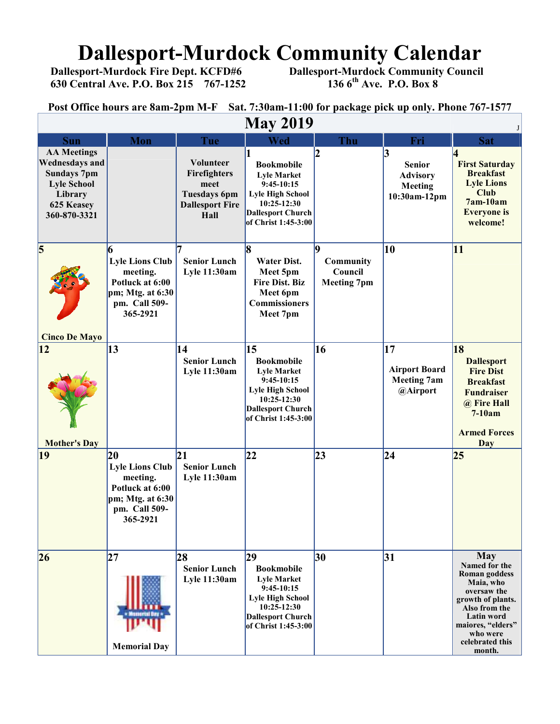# **Dallesport-Murdock Community Calendar**<br>Dallesport-Murdock Fire Dept. KCFD#6 Dallesport-Murdock Community Council

 **630 Central Ave. P.O. Box 215 767-1252 136 6th Ave. P.O. Box 8** 

 **Dallesport-Murdock Community Council 136 6<sup>th</sup> Ave. P.O. Box 8** 

**Post Office hours are 8am-2pm M-F Sat. 7:30am-11:00 for package pick up only. Phone 767-1577**

| <b>May 2019</b>                                                                                                                  |                                                                                                                            |                                                                                            |                                                                                                                                                                         |                                                         |                                                                  |                                                                                                                                                                                                          |  |  |  |
|----------------------------------------------------------------------------------------------------------------------------------|----------------------------------------------------------------------------------------------------------------------------|--------------------------------------------------------------------------------------------|-------------------------------------------------------------------------------------------------------------------------------------------------------------------------|---------------------------------------------------------|------------------------------------------------------------------|----------------------------------------------------------------------------------------------------------------------------------------------------------------------------------------------------------|--|--|--|
| <b>Sun</b>                                                                                                                       | <b>Mon</b>                                                                                                                 | Tue                                                                                        | Wed                                                                                                                                                                     | Thu                                                     | Fri                                                              | <b>Sat</b>                                                                                                                                                                                               |  |  |  |
| <b>AA Meetings</b><br><b>Wednesdays and</b><br><b>Sundays 7pm</b><br><b>Lyle School</b><br>Library<br>625 Keasey<br>360-870-3321 |                                                                                                                            | Volunteer<br>Firefighters<br>meet<br><b>Tuesdays 6pm</b><br><b>Dallesport Fire</b><br>Hall | <b>Bookmobile</b><br><b>Lyle Market</b><br>$9:45-10:15$<br><b>Lyle High School</b><br>10:25-12:30<br><b>Dallesport Church</b><br>of Christ 1:45-3:00                    |                                                         | 3<br><b>Senior</b><br><b>Advisory</b><br>Meeting<br>10:30am-12pm | И<br><b>First Saturday</b><br><b>Breakfast</b><br><b>Lyle Lions</b><br><b>Club</b><br>$7am-10am$<br><b>Everyone</b> is<br>welcome!                                                                       |  |  |  |
| $\overline{\mathbf{5}}$<br><b>Cinco De Mayo</b>                                                                                  | 6<br><b>Lyle Lions Club</b><br>meeting.<br>Potluck at 6:00<br>pm; Mtg. at 6:30<br>pm. Call 509-<br>365-2921                | <b>Senior Lunch</b><br><b>Lyle 11:30am</b>                                                 | 8<br><b>Water Dist.</b><br>Meet 5pm<br><b>Fire Dist. Biz</b><br>Meet 6pm<br><b>Commissioners</b><br>Meet 7pm                                                            | lQ<br><b>Community</b><br>Council<br><b>Meeting 7pm</b> | 10                                                               | 11                                                                                                                                                                                                       |  |  |  |
| $ 12\rangle$<br><b>Mother's Day</b>                                                                                              | 13                                                                                                                         | 14<br><b>Senior Lunch</b><br><b>Lyle 11:30am</b>                                           | 15<br><b>Bookmobile</b><br><b>Lyle Market</b><br>$9:45-10:15$<br><b>Lyle High School</b><br>10:25-12:30<br><b>Dallesport Church</b><br>of Christ 1:45-3:00              | 16                                                      | 17<br><b>Airport Board</b><br><b>Meeting 7am</b><br>@Airport     | 18<br><b>Dallesport</b><br><b>Fire Dist</b><br><b>Breakfast</b><br><b>Fundraiser</b><br>@ Fire Hall<br>$7-10am$<br><b>Armed Forces</b><br><b>Day</b>                                                     |  |  |  |
| 19                                                                                                                               | $ 20\rangle$<br><b>Lyle Lions Club</b><br>meeting.<br>Potluck at 6:00<br>$pm; Mtg.$ at $6:30$<br>pm. Call 509-<br>365-2921 | 21 <br><b>Senior Lunch</b><br>Lyle 11:30am                                                 | 22                                                                                                                                                                      | 23                                                      | 24                                                               | 25                                                                                                                                                                                                       |  |  |  |
| 26                                                                                                                               | 27<br><b>Memorial Day</b>                                                                                                  | 28<br><b>Senior Lunch</b><br><b>Lyle 11:30am</b>                                           | $\overline{29}$<br><b>Bookmobile</b><br><b>Lyle Market</b><br>$9:45-10:15$<br><b>Lyle High School</b><br>10:25-12:30<br><b>Dallesport Church</b><br>of Christ 1:45-3:00 | 30                                                      | 31                                                               | <b>May</b><br>Named for the<br><b>Roman</b> goddess<br>Maia, who<br>oversaw the<br>growth of plants.<br>Also from the<br><b>Latin word</b><br>maiores, "elders"<br>who were<br>celebrated this<br>month. |  |  |  |